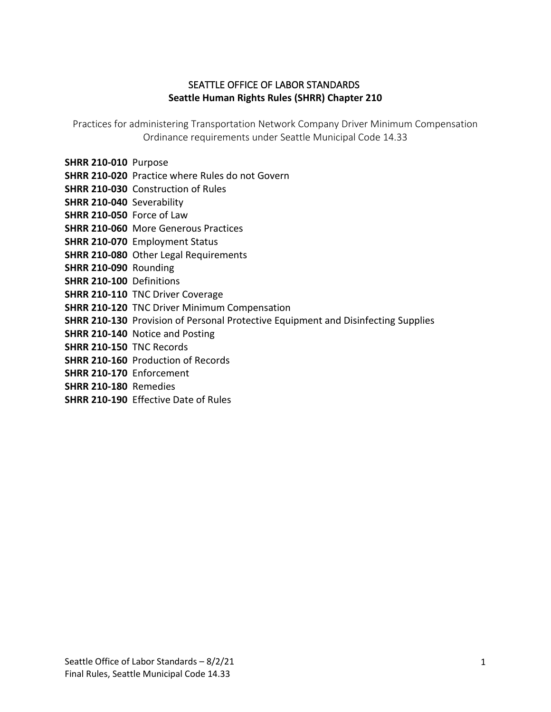# SEATTLE OFFICE OF LABOR STANDARDS **Seattle Human Rights Rules (SHRR) Chapter 210**

Practices for administering Transportation Network Company Driver Minimum Compensation Ordinance requirements under Seattle Municipal Code 14.33

- **SHRR 210-010** Purpose
- **SHRR 210-020** Practice where Rules do not Govern
- **SHRR 210-030** Construction of Rules
- **SHRR 210-040** Severability
- **SHRR 210-050** Force of Law
- **SHRR 210-060** More Generous Practices
- **SHRR 210-070** Employment Status
- **SHRR 210-080** Other Legal Requirements
- **SHRR 210-090** Rounding
- **SHRR 210-100** Definitions
- **SHRR 210-110** TNC Driver Coverage
- **SHRR 210-120** TNC Driver Minimum Compensation
- **SHRR 210-130** Provision of Personal Protective Equipment and Disinfecting Supplies
- **SHRR 210-140** Notice and Posting
- **SHRR 210-150** TNC Records
- **SHRR 210-160** Production of Records
- **SHRR 210-170** Enforcement
- **SHRR 210-180** Remedies
- **SHRR 210-190** Effective Date of Rules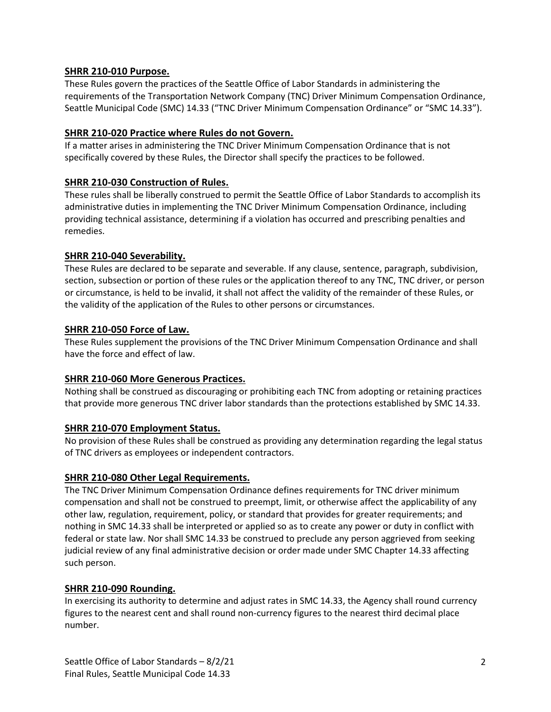### **SHRR 210-010 Purpose.**

These Rules govern the practices of the Seattle Office of Labor Standards in administering the requirements of the Transportation Network Company (TNC) Driver Minimum Compensation Ordinance, Seattle Municipal Code (SMC) 14.33 ("TNC Driver Minimum Compensation Ordinance" or "SMC 14.33").

## **SHRR 210-020 Practice where Rules do not Govern.**

If a matter arises in administering the TNC Driver Minimum Compensation Ordinance that is not specifically covered by these Rules, the Director shall specify the practices to be followed.

## **SHRR 210-030 Construction of Rules.**

These rules shall be liberally construed to permit the Seattle Office of Labor Standards to accomplish its administrative duties in implementing the TNC Driver Minimum Compensation Ordinance, including providing technical assistance, determining if a violation has occurred and prescribing penalties and remedies.

### **SHRR 210-040 Severability.**

These Rules are declared to be separate and severable. If any clause, sentence, paragraph, subdivision, section, subsection or portion of these rules or the application thereof to any TNC, TNC driver, or person or circumstance, is held to be invalid, it shall not affect the validity of the remainder of these Rules, or the validity of the application of the Rules to other persons or circumstances.

## **SHRR 210-050 Force of Law.**

These Rules supplement the provisions of the TNC Driver Minimum Compensation Ordinance and shall have the force and effect of law.

### **SHRR 210-060 More Generous Practices.**

Nothing shall be construed as discouraging or prohibiting each TNC from adopting or retaining practices that provide more generous TNC driver labor standards than the protections established by SMC 14.33.

### **SHRR 210-070 Employment Status.**

No provision of these Rules shall be construed as providing any determination regarding the legal status of TNC drivers as employees or independent contractors.

# **SHRR 210-080 Other Legal Requirements.**

The TNC Driver Minimum Compensation Ordinance defines requirements for TNC driver minimum compensation and shall not be construed to preempt, limit, or otherwise affect the applicability of any other law, regulation, requirement, policy, or standard that provides for greater requirements; and nothing in SMC 14.33 shall be interpreted or applied so as to create any power or duty in conflict with federal or state law. Nor shall SMC 14.33 be construed to preclude any person aggrieved from seeking judicial review of any final administrative decision or order made under SMC Chapter 14.33 affecting such person.

# **SHRR 210-090 Rounding.**

In exercising its authority to determine and adjust rates in SMC 14.33, the Agency shall round currency figures to the nearest cent and shall round non-currency figures to the nearest third decimal place number.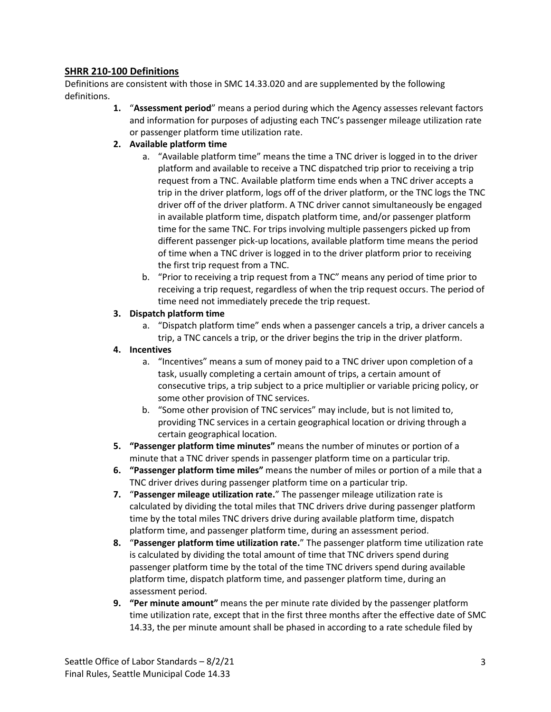## **SHRR 210-100 Definitions**

Definitions are consistent with those in SMC 14.33.020 and are supplemented by the following definitions.

> **1.** "**Assessment period**" means a period during which the Agency assesses relevant factors and information for purposes of adjusting each TNC's passenger mileage utilization rate or passenger platform time utilization rate.

#### **2. Available platform time**

- a. "Available platform time" means the time a TNC driver is logged in to the driver platform and available to receive a TNC dispatched trip prior to receiving a trip request from a TNC. Available platform time ends when a TNC driver accepts a trip in the driver platform, logs off of the driver platform, or the TNC logs the TNC driver off of the driver platform. A TNC driver cannot simultaneously be engaged in available platform time, dispatch platform time, and/or passenger platform time for the same TNC. For trips involving multiple passengers picked up from different passenger pick-up locations, available platform time means the period of time when a TNC driver is logged in to the driver platform prior to receiving the first trip request from a TNC.
- b. "Prior to receiving a trip request from a TNC" means any period of time prior to receiving a trip request, regardless of when the trip request occurs. The period of time need not immediately precede the trip request.

### **3. Dispatch platform time**

a. "Dispatch platform time" ends when a passenger cancels a trip, a driver cancels a trip, a TNC cancels a trip, or the driver begins the trip in the driver platform.

#### **4. Incentives**

- a. "Incentives" means a sum of money paid to a TNC driver upon completion of a task, usually completing a certain amount of trips, a certain amount of consecutive trips, a trip subject to a price multiplier or variable pricing policy, or some other provision of TNC services.
- b. "Some other provision of TNC services" may include, but is not limited to, providing TNC services in a certain geographical location or driving through a certain geographical location.
- **5. "Passenger platform time minutes"** means the number of minutes or portion of a minute that a TNC driver spends in passenger platform time on a particular trip.
- **6. "Passenger platform time miles"** means the number of miles or portion of a mile that a TNC driver drives during passenger platform time on a particular trip.
- **7.** "**Passenger mileage utilization rate.**" The passenger mileage utilization rate is calculated by dividing the total miles that TNC drivers drive during passenger platform time by the total miles TNC drivers drive during available platform time, dispatch platform time, and passenger platform time, during an assessment period.
- **8.** "**Passenger platform time utilization rate.**" The passenger platform time utilization rate is calculated by dividing the total amount of time that TNC drivers spend during passenger platform time by the total of the time TNC drivers spend during available platform time, dispatch platform time, and passenger platform time, during an assessment period.
- **9. "Per minute amount"** means the per minute rate divided by the passenger platform time utilization rate, except that in the first three months after the effective date of SMC 14.33, the per minute amount shall be phased in according to a rate schedule filed by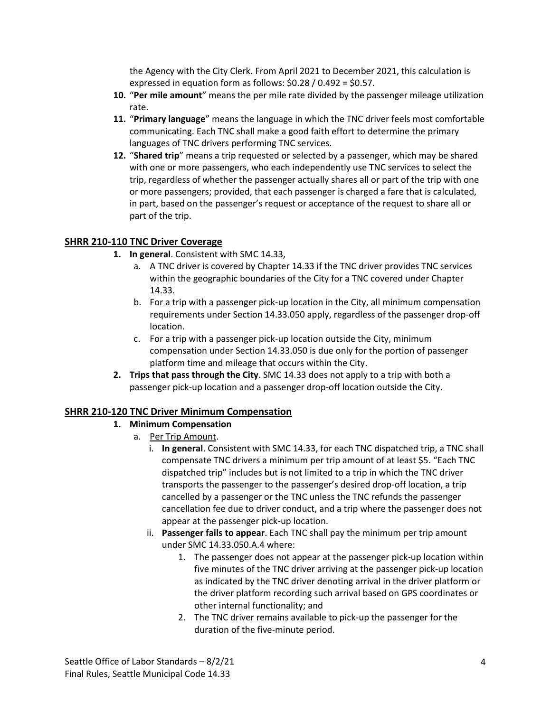the Agency with the City Clerk. From April 2021 to December 2021, this calculation is expressed in equation form as follows: \$0.28 / 0.492 = \$0.57.

- **10.** "**Per mile amount**" means the per mile rate divided by the passenger mileage utilization rate.
- **11.** "**Primary language**" means the language in which the TNC driver feels most comfortable communicating. Each TNC shall make a good faith effort to determine the primary languages of TNC drivers performing TNC services.
- **12.** "**Shared trip**" means a trip requested or selected by a passenger, which may be shared with one or more passengers, who each independently use TNC services to select the trip, regardless of whether the passenger actually shares all or part of the trip with one or more passengers; provided, that each passenger is charged a fare that is calculated, in part, based on the passenger's request or acceptance of the request to share all or part of the trip.

### **SHRR 210-110 TNC Driver Coverage**

- **1. In general**. Consistent with SMC 14.33,
	- a. A TNC driver is covered by Chapter 14.33 if the TNC driver provides TNC services within the geographic boundaries of the City for a TNC covered under Chapter 14.33.
	- b. For a trip with a passenger pick-up location in the City, all minimum compensation requirements under Section 14.33.050 apply, regardless of the passenger drop-off location.
	- c. For a trip with a passenger pick-up location outside the City, minimum compensation under Section 14.33.050 is due only for the portion of passenger platform time and mileage that occurs within the City.
- **2. Trips that pass through the City**. SMC 14.33 does not apply to a trip with both a passenger pick-up location and a passenger drop-off location outside the City.

### **SHRR 210-120 TNC Driver Minimum Compensation**

### **1. Minimum Compensation**

- a. Per Trip Amount.
	- i. **In general**. Consistent with SMC 14.33, for each TNC dispatched trip, a TNC shall compensate TNC drivers a minimum per trip amount of at least \$5. "Each TNC dispatched trip" includes but is not limited to a trip in which the TNC driver transports the passenger to the passenger's desired drop-off location, a trip cancelled by a passenger or the TNC unless the TNC refunds the passenger cancellation fee due to driver conduct, and a trip where the passenger does not appear at the passenger pick-up location.
	- ii. **Passenger fails to appear**. Each TNC shall pay the minimum per trip amount under SMC 14.33.050.A.4 where:
		- 1. The passenger does not appear at the passenger pick-up location within five minutes of the TNC driver arriving at the passenger pick-up location as indicated by the TNC driver denoting arrival in the driver platform or the driver platform recording such arrival based on GPS coordinates or other internal functionality; and
		- 2. The TNC driver remains available to pick-up the passenger for the duration of the five-minute period.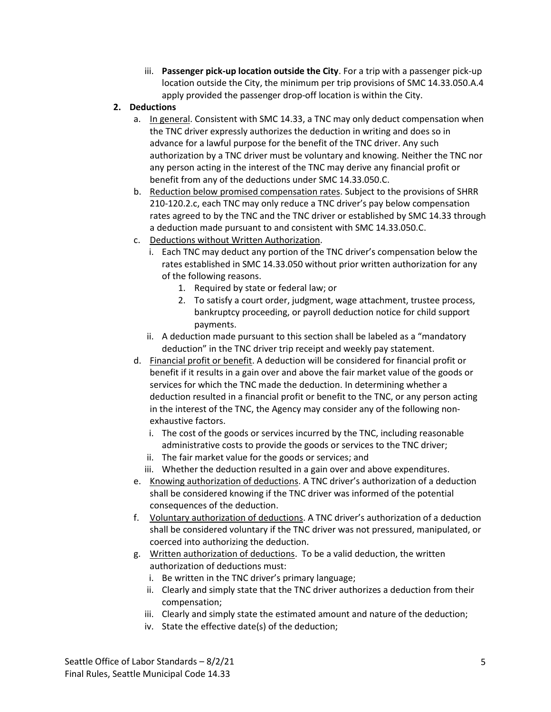iii. **Passenger pick-up location outside the City**. For a trip with a passenger pick-up location outside the City, the minimum per trip provisions of SMC 14.33.050.A.4 apply provided the passenger drop-off location is within the City.

## **2. Deductions**

- a. In general. Consistent with SMC 14.33, a TNC may only deduct compensation when the TNC driver expressly authorizes the deduction in writing and does so in advance for a lawful purpose for the benefit of the TNC driver. Any such authorization by a TNC driver must be voluntary and knowing. Neither the TNC nor any person acting in the interest of the TNC may derive any financial profit or benefit from any of the deductions under SMC 14.33.050.C.
- b. Reduction below promised compensation rates. Subject to the provisions of SHRR 210-120.2.c, each TNC may only reduce a TNC driver's pay below compensation rates agreed to by the TNC and the TNC driver or established by SMC 14.33 through a deduction made pursuant to and consistent with SMC 14.33.050.C.
- c. Deductions without Written Authorization.
	- i. Each TNC may deduct any portion of the TNC driver's compensation below the rates established in SMC 14.33.050 without prior written authorization for any of the following reasons.
		- 1. Required by state or federal law; or
		- 2. To satisfy a court order, judgment, wage attachment, trustee process, bankruptcy proceeding, or payroll deduction notice for child support payments.
	- ii. A deduction made pursuant to this section shall be labeled as a "mandatory deduction" in the TNC driver trip receipt and weekly pay statement.
- d. Financial profit or benefit. A deduction will be considered for financial profit or benefit if it results in a gain over and above the fair market value of the goods or services for which the TNC made the deduction. In determining whether a deduction resulted in a financial profit or benefit to the TNC, or any person acting in the interest of the TNC, the Agency may consider any of the following nonexhaustive factors.
	- i. The cost of the goods or services incurred by the TNC, including reasonable administrative costs to provide the goods or services to the TNC driver;
	- ii. The fair market value for the goods or services; and
	- iii. Whether the deduction resulted in a gain over and above expenditures.
- e. Knowing authorization of deductions. A TNC driver's authorization of a deduction shall be considered knowing if the TNC driver was informed of the potential consequences of the deduction.
- f. Voluntary authorization of deductions. A TNC driver's authorization of a deduction shall be considered voluntary if the TNC driver was not pressured, manipulated, or coerced into authorizing the deduction.
- g. Written authorization of deductions. To be a valid deduction, the written authorization of deductions must:
	- i. Be written in the TNC driver's primary language;
	- ii. Clearly and simply state that the TNC driver authorizes a deduction from their compensation;
	- iii. Clearly and simply state the estimated amount and nature of the deduction;
	- iv. State the effective date(s) of the deduction;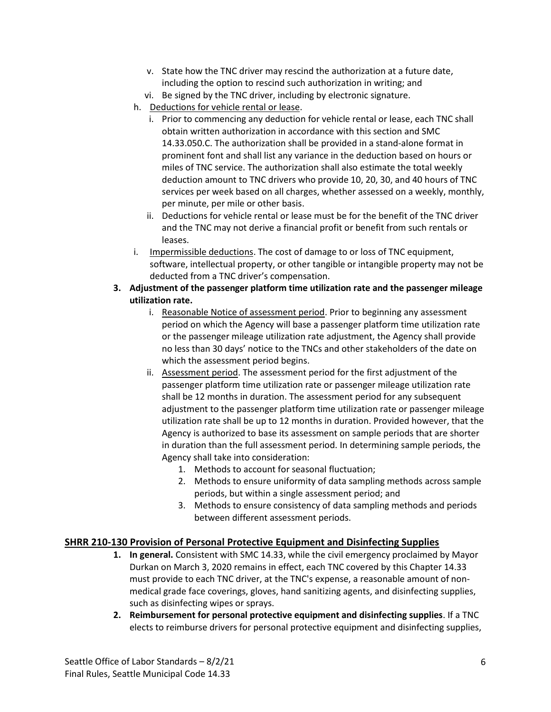- v. State how the TNC driver may rescind the authorization at a future date, including the option to rescind such authorization in writing; and
- vi. Be signed by the TNC driver, including by electronic signature.
- h. Deductions for vehicle rental or lease.
	- i. Prior to commencing any deduction for vehicle rental or lease, each TNC shall obtain written authorization in accordance with this section and SMC 14.33.050.C. The authorization shall be provided in a stand-alone format in prominent font and shall list any variance in the deduction based on hours or miles of TNC service. The authorization shall also estimate the total weekly deduction amount to TNC drivers who provide 10, 20, 30, and 40 hours of TNC services per week based on all charges, whether assessed on a weekly, monthly, per minute, per mile or other basis.
	- ii. Deductions for vehicle rental or lease must be for the benefit of the TNC driver and the TNC may not derive a financial profit or benefit from such rentals or leases.
- i. Impermissible deductions. The cost of damage to or loss of TNC equipment, software, intellectual property, or other tangible or intangible property may not be deducted from a TNC driver's compensation.

### **3. Adjustment of the passenger platform time utilization rate and the passenger mileage utilization rate.**

- i. Reasonable Notice of assessment period. Prior to beginning any assessment period on which the Agency will base a passenger platform time utilization rate or the passenger mileage utilization rate adjustment, the Agency shall provide no less than 30 days' notice to the TNCs and other stakeholders of the date on which the assessment period begins.
- ii. Assessment period. The assessment period for the first adjustment of the passenger platform time utilization rate or passenger mileage utilization rate shall be 12 months in duration. The assessment period for any subsequent adjustment to the passenger platform time utilization rate or passenger mileage utilization rate shall be up to 12 months in duration. Provided however, that the Agency is authorized to base its assessment on sample periods that are shorter in duration than the full assessment period. In determining sample periods, the Agency shall take into consideration:
	- 1. Methods to account for seasonal fluctuation;
	- 2. Methods to ensure uniformity of data sampling methods across sample periods, but within a single assessment period; and
	- 3. Methods to ensure consistency of data sampling methods and periods between different assessment periods.

# **SHRR 210-130 Provision of Personal Protective Equipment and Disinfecting Supplies**

- **1. In general.** Consistent with SMC 14.33, while the civil emergency proclaimed by Mayor Durkan on March 3, 2020 remains in effect, each TNC covered by this Chapter 14.33 must provide to each TNC driver, at the TNC's expense, a reasonable amount of nonmedical grade face coverings, gloves, hand sanitizing agents, and disinfecting supplies, such as disinfecting wipes or sprays.
- **2. Reimbursement for personal protective equipment and disinfecting supplies**. If a TNC elects to reimburse drivers for personal protective equipment and disinfecting supplies,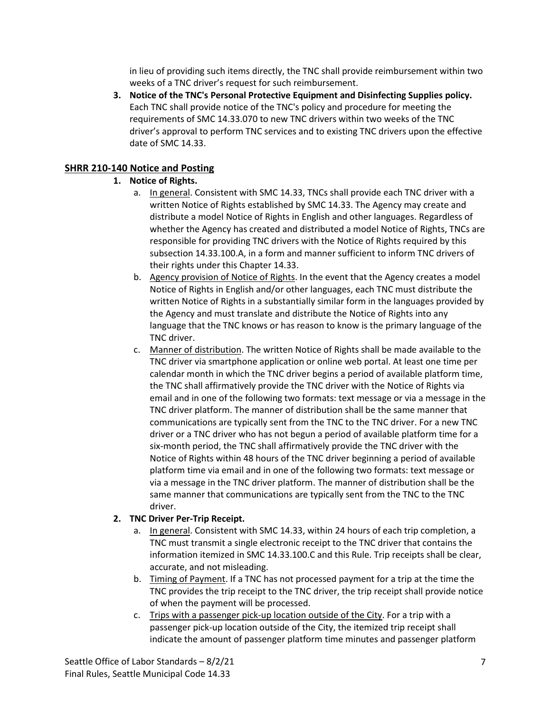in lieu of providing such items directly, the TNC shall provide reimbursement within two weeks of a TNC driver's request for such reimbursement.

**3. Notice of the TNC's Personal Protective Equipment and Disinfecting Supplies policy.**  Each TNC shall provide notice of the TNC's policy and procedure for meeting the requirements of SMC 14.33.070 to new TNC drivers within two weeks of the TNC driver's approval to perform TNC services and to existing TNC drivers upon the effective date of SMC 14.33.

## **SHRR 210-140 Notice and Posting**

## **1. Notice of Rights.**

- a. In general. Consistent with SMC 14.33, TNCs shall provide each TNC driver with a written Notice of Rights established by SMC 14.33. The Agency may create and distribute a model Notice of Rights in English and other languages. Regardless of whether the Agency has created and distributed a model Notice of Rights, TNCs are responsible for providing TNC drivers with the Notice of Rights required by this subsection 14.33.100.A, in a form and manner sufficient to inform TNC drivers of their rights under this Chapter 14.33.
- b. Agency provision of Notice of Rights. In the event that the Agency creates a model Notice of Rights in English and/or other languages, each TNC must distribute the written Notice of Rights in a substantially similar form in the languages provided by the Agency and must translate and distribute the Notice of Rights into any language that the TNC knows or has reason to know is the primary language of the TNC driver.
- c. Manner of distribution. The written Notice of Rights shall be made available to the TNC driver via smartphone application or online web portal. At least one time per calendar month in which the TNC driver begins a period of available platform time, the TNC shall affirmatively provide the TNC driver with the Notice of Rights via email and in one of the following two formats: text message or via a message in the TNC driver platform. The manner of distribution shall be the same manner that communications are typically sent from the TNC to the TNC driver. For a new TNC driver or a TNC driver who has not begun a period of available platform time for a six-month period, the TNC shall affirmatively provide the TNC driver with the Notice of Rights within 48 hours of the TNC driver beginning a period of available platform time via email and in one of the following two formats: text message or via a message in the TNC driver platform. The manner of distribution shall be the same manner that communications are typically sent from the TNC to the TNC driver.

### **2. TNC Driver Per-Trip Receipt.**

- a. In general. Consistent with SMC 14.33, within 24 hours of each trip completion, a TNC must transmit a single electronic receipt to the TNC driver that contains the information itemized in SMC 14.33.100.C and this Rule. Trip receipts shall be clear, accurate, and not misleading.
- b. Timing of Payment. If a TNC has not processed payment for a trip at the time the TNC provides the trip receipt to the TNC driver, the trip receipt shall provide notice of when the payment will be processed.
- c. Trips with a passenger pick-up location outside of the City. For a trip with a passenger pick-up location outside of the City, the itemized trip receipt shall indicate the amount of passenger platform time minutes and passenger platform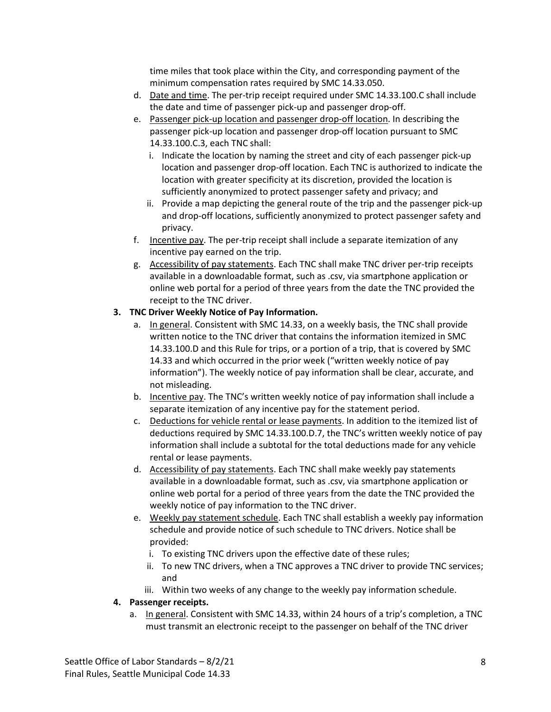time miles that took place within the City, and corresponding payment of the minimum compensation rates required by SMC 14.33.050.

- d. Date and time. The per-trip receipt required under SMC 14.33.100.C shall include the date and time of passenger pick-up and passenger drop-off.
- e. Passenger pick-up location and passenger drop-off location. In describing the passenger pick-up location and passenger drop-off location pursuant to SMC 14.33.100.C.3, each TNC shall:
	- i. Indicate the location by naming the street and city of each passenger pick-up location and passenger drop-off location. Each TNC is authorized to indicate the location with greater specificity at its discretion, provided the location is sufficiently anonymized to protect passenger safety and privacy; and
	- ii. Provide a map depicting the general route of the trip and the passenger pick-up and drop-off locations, sufficiently anonymized to protect passenger safety and privacy.
- f. Incentive pay. The per-trip receipt shall include a separate itemization of any incentive pay earned on the trip.
- g. Accessibility of pay statements. Each TNC shall make TNC driver per-trip receipts available in a downloadable format, such as .csv, via smartphone application or online web portal for a period of three years from the date the TNC provided the receipt to the TNC driver.

## **3. TNC Driver Weekly Notice of Pay Information.**

- a. In general. Consistent with SMC 14.33, on a weekly basis, the TNC shall provide written notice to the TNC driver that contains the information itemized in SMC 14.33.100.D and this Rule for trips, or a portion of a trip, that is covered by SMC 14.33 and which occurred in the prior week ("written weekly notice of pay information"). The weekly notice of pay information shall be clear, accurate, and not misleading.
- b. Incentive pay. The TNC's written weekly notice of pay information shall include a separate itemization of any incentive pay for the statement period.
- c. Deductions for vehicle rental or lease payments. In addition to the itemized list of deductions required by SMC 14.33.100.D.7, the TNC's written weekly notice of pay information shall include a subtotal for the total deductions made for any vehicle rental or lease payments.
- d. Accessibility of pay statements. Each TNC shall make weekly pay statements available in a downloadable format, such as .csv, via smartphone application or online web portal for a period of three years from the date the TNC provided the weekly notice of pay information to the TNC driver.
- e. Weekly pay statement schedule. Each TNC shall establish a weekly pay information schedule and provide notice of such schedule to TNC drivers. Notice shall be provided:
	- i. To existing TNC drivers upon the effective date of these rules;
	- ii. To new TNC drivers, when a TNC approves a TNC driver to provide TNC services; and
	- iii. Within two weeks of any change to the weekly pay information schedule.

### **4. Passenger receipts.**

a. In general. Consistent with SMC 14.33, within 24 hours of a trip's completion, a TNC must transmit an electronic receipt to the passenger on behalf of the TNC driver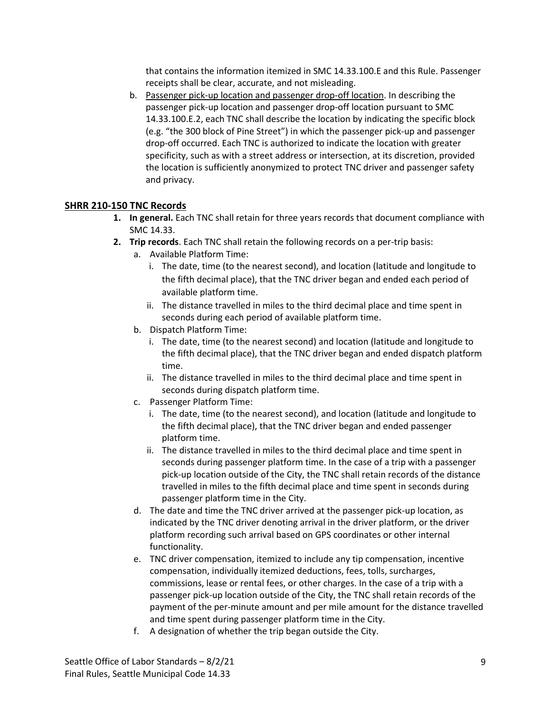that contains the information itemized in SMC 14.33.100.E and this Rule. Passenger receipts shall be clear, accurate, and not misleading.

b. Passenger pick-up location and passenger drop-off location. In describing the passenger pick-up location and passenger drop-off location pursuant to SMC 14.33.100.E.2, each TNC shall describe the location by indicating the specific block (e.g. "the 300 block of Pine Street") in which the passenger pick-up and passenger drop-off occurred. Each TNC is authorized to indicate the location with greater specificity, such as with a street address or intersection, at its discretion, provided the location is sufficiently anonymized to protect TNC driver and passenger safety and privacy.

## **SHRR 210-150 TNC Records**

- **1. In general.** Each TNC shall retain for three years records that document compliance with SMC 14.33.
- **2. Trip records**. Each TNC shall retain the following records on a per-trip basis:
	- a. Available Platform Time:
		- i. The date, time (to the nearest second), and location (latitude and longitude to the fifth decimal place), that the TNC driver began and ended each period of available platform time.
		- ii. The distance travelled in miles to the third decimal place and time spent in seconds during each period of available platform time.
	- b. Dispatch Platform Time:
		- i. The date, time (to the nearest second) and location (latitude and longitude to the fifth decimal place), that the TNC driver began and ended dispatch platform time.
		- ii. The distance travelled in miles to the third decimal place and time spent in seconds during dispatch platform time.
	- c. Passenger Platform Time:
		- i. The date, time (to the nearest second), and location (latitude and longitude to the fifth decimal place), that the TNC driver began and ended passenger platform time.
		- ii. The distance travelled in miles to the third decimal place and time spent in seconds during passenger platform time. In the case of a trip with a passenger pick-up location outside of the City, the TNC shall retain records of the distance travelled in miles to the fifth decimal place and time spent in seconds during passenger platform time in the City.
	- d. The date and time the TNC driver arrived at the passenger pick-up location, as indicated by the TNC driver denoting arrival in the driver platform, or the driver platform recording such arrival based on GPS coordinates or other internal functionality.
	- e. TNC driver compensation, itemized to include any tip compensation, incentive compensation, individually itemized deductions, fees, tolls, surcharges, commissions, lease or rental fees, or other charges. In the case of a trip with a passenger pick-up location outside of the City, the TNC shall retain records of the payment of the per-minute amount and per mile amount for the distance travelled and time spent during passenger platform time in the City.
	- f. A designation of whether the trip began outside the City.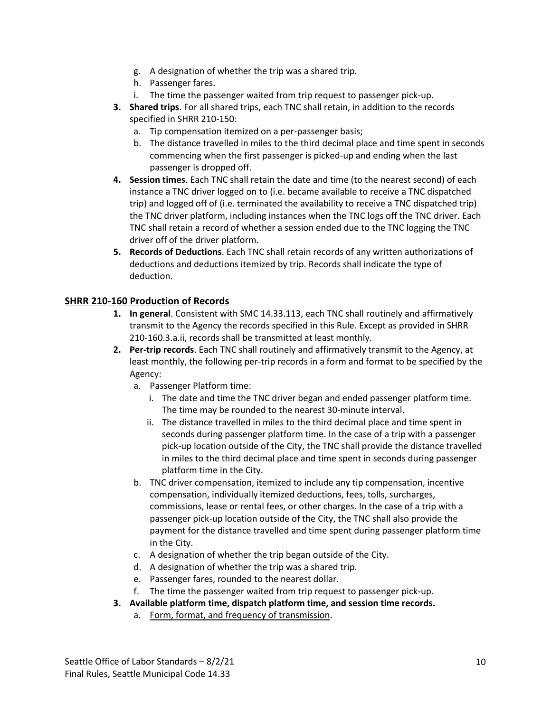- g. A designation of whether the trip was a shared trip.
- h. Passenger fares.
- i. The time the passenger waited from trip request to passenger pick-up.
- **3. Shared trips**. For all shared trips, each TNC shall retain, in addition to the records specified in SHRR 210-150:
	- a. Tip compensation itemized on a per-passenger basis;
	- b. The distance travelled in miles to the third decimal place and time spent in seconds commencing when the first passenger is picked-up and ending when the last passenger is dropped off.
- **4. Session times**. Each TNC shall retain the date and time (to the nearest second) of each instance a TNC driver logged on to (i.e. became available to receive a TNC dispatched trip) and logged off of (i.e. terminated the availability to receive a TNC dispatched trip) the TNC driver platform, including instances when the TNC logs off the TNC driver. Each TNC shall retain a record of whether a session ended due to the TNC logging the TNC driver off of the driver platform.
- **5. Records of Deductions**. Each TNC shall retain records of any written authorizations of deductions and deductions itemized by trip. Records shall indicate the type of deduction.

## **SHRR 210-160 Production of Records**

- **1. In general**. Consistent with SMC 14.33.113, each TNC shall routinely and affirmatively transmit to the Agency the records specified in this Rule. Except as provided in SHRR 210-160.3.a.ii, records shall be transmitted at least monthly.
- **2. Per-trip records**. Each TNC shall routinely and affirmatively transmit to the Agency, at least monthly, the following per-trip records in a form and format to be specified by the Agency:
	- a. Passenger Platform time:
		- i. The date and time the TNC driver began and ended passenger platform time. The time may be rounded to the nearest 30-minute interval.
		- ii. The distance travelled in miles to the third decimal place and time spent in seconds during passenger platform time. In the case of a trip with a passenger pick-up location outside of the City, the TNC shall provide the distance travelled in miles to the third decimal place and time spent in seconds during passenger platform time in the City.
	- b. TNC driver compensation, itemized to include any tip compensation, incentive compensation, individually itemized deductions, fees, tolls, surcharges, commissions, lease or rental fees, or other charges. In the case of a trip with a passenger pick-up location outside of the City, the TNC shall also provide the payment for the distance travelled and time spent during passenger platform time in the City.
	- c. A designation of whether the trip began outside of the City.
	- d. A designation of whether the trip was a shared trip.
	- e. Passenger fares, rounded to the nearest dollar.
	- f. The time the passenger waited from trip request to passenger pick-up.
- **3. Available platform time, dispatch platform time, and session time records.**
	- a. Form, format, and frequency of transmission.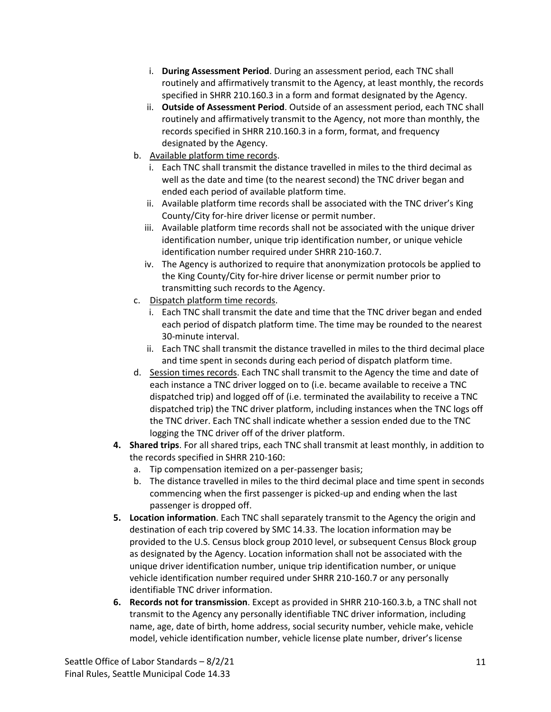- i. **During Assessment Period**. During an assessment period, each TNC shall routinely and affirmatively transmit to the Agency, at least monthly, the records specified in SHRR 210.160.3 in a form and format designated by the Agency.
- ii. **Outside of Assessment Period**. Outside of an assessment period, each TNC shall routinely and affirmatively transmit to the Agency, not more than monthly, the records specified in SHRR 210.160.3 in a form, format, and frequency designated by the Agency.
- b. Available platform time records.
	- i. Each TNC shall transmit the distance travelled in miles to the third decimal as well as the date and time (to the nearest second) the TNC driver began and ended each period of available platform time.
	- ii. Available platform time records shall be associated with the TNC driver's King County/City for-hire driver license or permit number.
	- iii. Available platform time records shall not be associated with the unique driver identification number, unique trip identification number, or unique vehicle identification number required under SHRR 210-160.7.
	- iv. The Agency is authorized to require that anonymization protocols be applied to the King County/City for-hire driver license or permit number prior to transmitting such records to the Agency.
- c. Dispatch platform time records.
	- i. Each TNC shall transmit the date and time that the TNC driver began and ended each period of dispatch platform time. The time may be rounded to the nearest 30-minute interval.
	- ii. Each TNC shall transmit the distance travelled in miles to the third decimal place and time spent in seconds during each period of dispatch platform time.
- d. Session times records. Each TNC shall transmit to the Agency the time and date of each instance a TNC driver logged on to (i.e. became available to receive a TNC dispatched trip) and logged off of (i.e. terminated the availability to receive a TNC dispatched trip) the TNC driver platform, including instances when the TNC logs off the TNC driver. Each TNC shall indicate whether a session ended due to the TNC logging the TNC driver off of the driver platform.
- **4. Shared trips**. For all shared trips, each TNC shall transmit at least monthly, in addition to the records specified in SHRR 210-160:
	- a. Tip compensation itemized on a per-passenger basis;
	- b. The distance travelled in miles to the third decimal place and time spent in seconds commencing when the first passenger is picked-up and ending when the last passenger is dropped off.
- **5. Location information**. Each TNC shall separately transmit to the Agency the origin and destination of each trip covered by SMC 14.33. The location information may be provided to the U.S. Census block group 2010 level, or subsequent Census Block group as designated by the Agency. Location information shall not be associated with the unique driver identification number, unique trip identification number, or unique vehicle identification number required under SHRR 210-160.7 or any personally identifiable TNC driver information.
- **6. Records not for transmission**. Except as provided in SHRR 210-160.3.b, a TNC shall not transmit to the Agency any personally identifiable TNC driver information, including name, age, date of birth, home address, social security number, vehicle make, vehicle model, vehicle identification number, vehicle license plate number, driver's license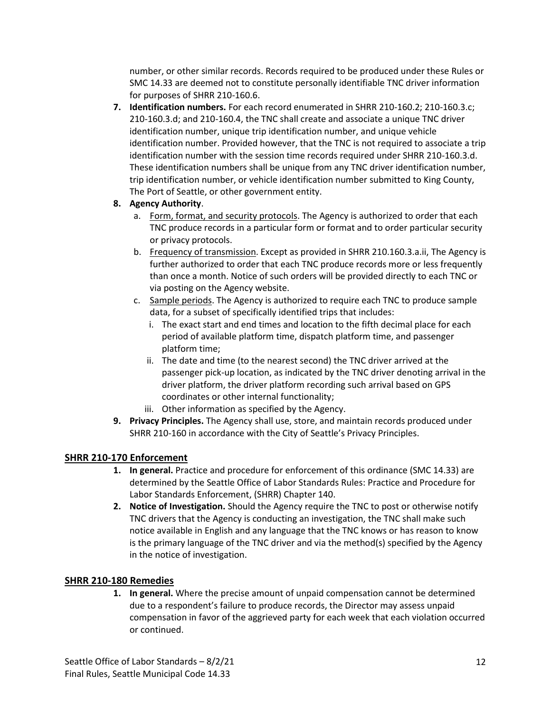number, or other similar records. Records required to be produced under these Rules or SMC 14.33 are deemed not to constitute personally identifiable TNC driver information for purposes of SHRR 210-160.6.

**7. Identification numbers.** For each record enumerated in SHRR 210-160.2; 210-160.3.c; 210-160.3.d; and 210-160.4, the TNC shall create and associate a unique TNC driver identification number, unique trip identification number, and unique vehicle identification number. Provided however, that the TNC is not required to associate a trip identification number with the session time records required under SHRR 210-160.3.d. These identification numbers shall be unique from any TNC driver identification number, trip identification number, or vehicle identification number submitted to King County, The Port of Seattle, or other government entity.

### **8. Agency Authority**.

- a. Form, format, and security protocols. The Agency is authorized to order that each TNC produce records in a particular form or format and to order particular security or privacy protocols.
- b. Frequency of transmission. Except as provided in SHRR 210.160.3.a.ii, The Agency is further authorized to order that each TNC produce records more or less frequently than once a month. Notice of such orders will be provided directly to each TNC or via posting on the Agency website.
- c. Sample periods. The Agency is authorized to require each TNC to produce sample data, for a subset of specifically identified trips that includes:
	- i. The exact start and end times and location to the fifth decimal place for each period of available platform time, dispatch platform time, and passenger platform time;
	- ii. The date and time (to the nearest second) the TNC driver arrived at the passenger pick-up location, as indicated by the TNC driver denoting arrival in the driver platform, the driver platform recording such arrival based on GPS coordinates or other internal functionality;
	- iii. Other information as specified by the Agency.
- **9. Privacy Principles.** The Agency shall use, store, and maintain records produced under SHRR 210-160 in accordance with the City of Seattle's Privacy Principles.

# **SHRR 210-170 Enforcement**

- **1. In general.** Practice and procedure for enforcement of this ordinance (SMC 14.33) are determined by the Seattle Office of Labor Standards Rules: Practice and Procedure for Labor Standards Enforcement, (SHRR) Chapter 140.
- **2. Notice of Investigation.** Should the Agency require the TNC to post or otherwise notify TNC drivers that the Agency is conducting an investigation, the TNC shall make such notice available in English and any language that the TNC knows or has reason to know is the primary language of the TNC driver and via the method(s) specified by the Agency in the notice of investigation.

# **SHRR 210-180 Remedies**

**1. In general.** Where the precise amount of unpaid compensation cannot be determined due to a respondent's failure to produce records, the Director may assess unpaid compensation in favor of the aggrieved party for each week that each violation occurred or continued.